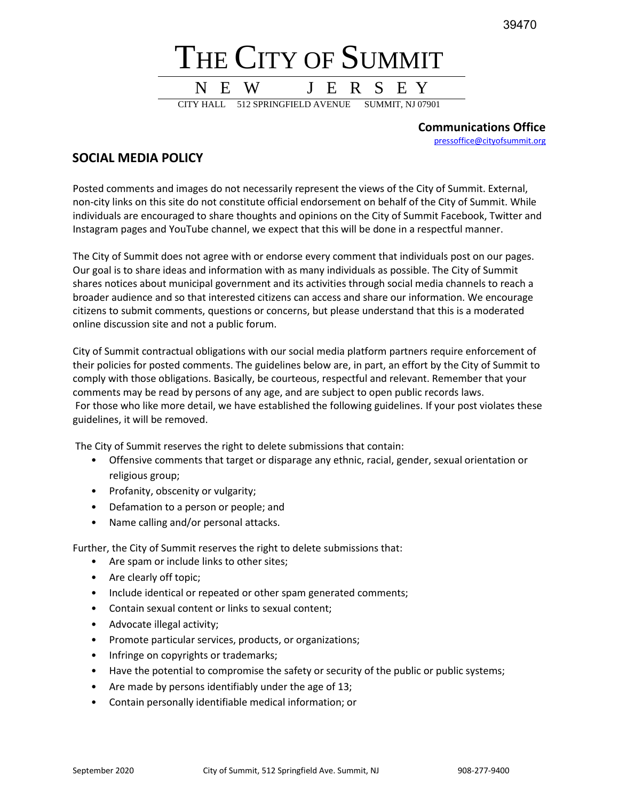39470



**Communications Office** [pressoffice@cityofsummit.org](mailto:pressoffice@cityofsummit.org)

## **SOCIAL MEDIA POLICY**

Posted comments and images do not necessarily represent the views of the City of Summit. External, non-city links on this site do not constitute official endorsement on behalf of the City of Summit. While individuals are encouraged to share thoughts and opinions on the City of Summit Facebook, Twitter and Instagram pages and YouTube channel, we expect that this will be done in a respectful manner.

The City of Summit does not agree with or endorse every comment that individuals post on our pages. Our goal is to share ideas and information with as many individuals as possible. The City of Summit shares notices about municipal government and its activities through social media channels to reach a broader audience and so that interested citizens can access and share our information. We encourage citizens to submit comments, questions or concerns, but please understand that this is a moderated online discussion site and not a public forum.

City of Summit contractual obligations with our social media platform partners require enforcement of their policies for posted comments. The guidelines below are, in part, an effort by the City of Summit to comply with those obligations. Basically, be courteous, respectful and relevant. Remember that your comments may be read by persons of any age, and are subject to open public records laws. For those who like more detail, we have established the following guidelines. If your post violates these guidelines, it will be removed.

The City of Summit reserves the right to delete submissions that contain:

- Offensive comments that target or disparage any ethnic, racial, gender, sexual orientation or religious group;
- Profanity, obscenity or vulgarity;
- Defamation to a person or people; and
- Name calling and/or personal attacks.

Further, the City of Summit reserves the right to delete submissions that:

- Are spam or include links to other sites;
- Are clearly off topic;
- Include identical or repeated or other spam generated comments;
- Contain sexual content or links to sexual content;
- Advocate illegal activity;
- Promote particular services, products, or organizations;
- Infringe on copyrights or trademarks;
- Have the potential to compromise the safety or security of the public or public systems;
- Are made by persons identifiably under the age of 13;
- Contain personally identifiable medical information; or